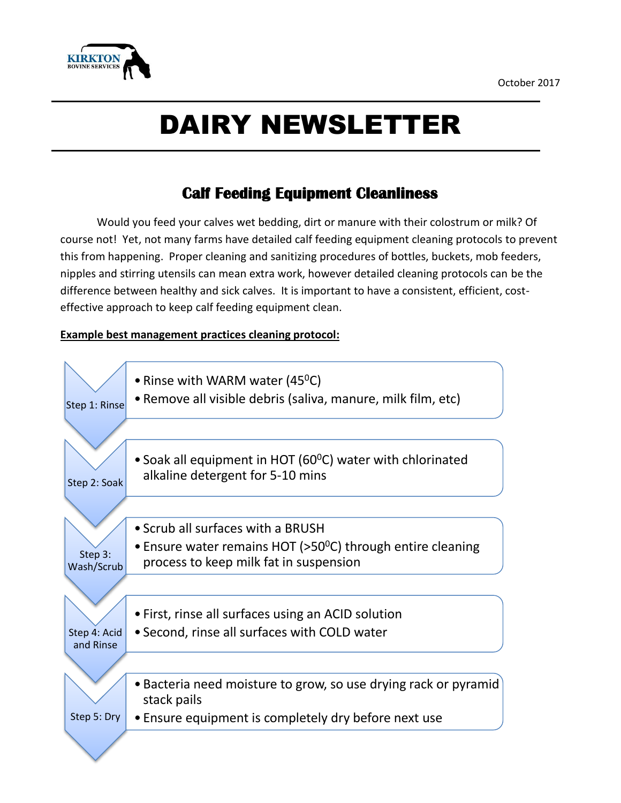

# DAIRY NEWSLETTER

## **Calf Feeding Equipment Cleanliness**

Would you feed your calves wet bedding, dirt or manure with their colostrum or milk? Of course not! Yet, not many farms have detailed calf feeding equipment cleaning protocols to prevent this from happening. Proper cleaning and sanitizing procedures of bottles, buckets, mob feeders, nipples and stirring utensils can mean extra work, however detailed cleaning protocols can be the difference between healthy and sick calves. It is important to have a consistent, efficient, costeffective approach to keep calf feeding equipment clean.

#### **Example best management practices cleaning protocol:**